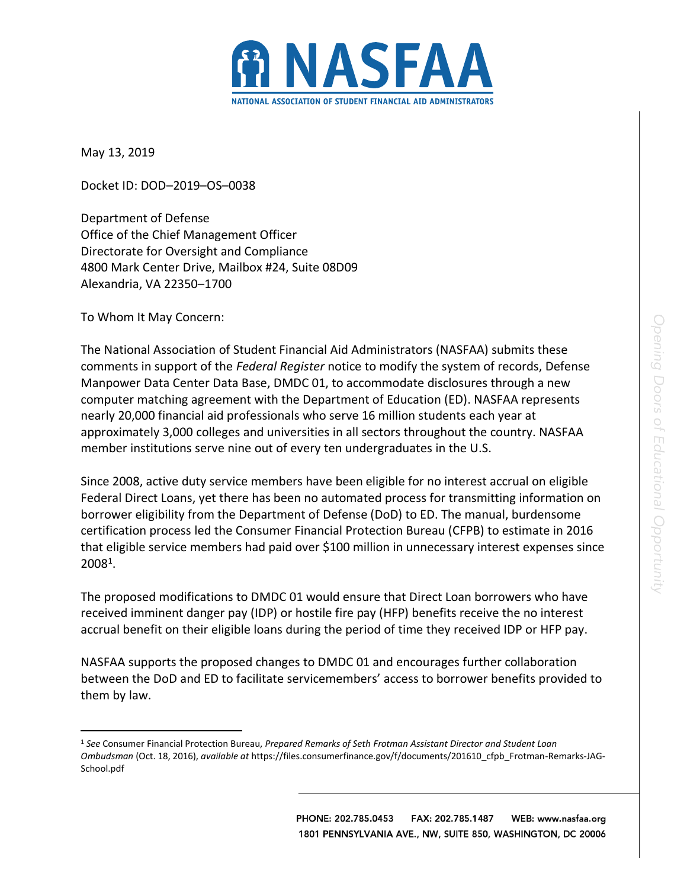

May 13, 2019

 $\overline{a}$ 

Docket ID: DOD–2019–OS–0038

Department of Defense Office of the Chief Management Officer Directorate for Oversight and Compliance 4800 Mark Center Drive, Mailbox #24, Suite 08D09 Alexandria, VA 22350–1700

To Whom It May Concern:

The National Association of Student Financial Aid Administrators (NASFAA) submits these comments in support of the *Federal Register* notice to modify the system of records, Defense Manpower Data Center Data Base, DMDC 01, to accommodate disclosures through a new computer matching agreement with the Department of Education (ED). NASFAA represents nearly 20,000 financial aid professionals who serve 16 million students each year at approximately 3,000 colleges and universities in all sectors throughout the country. NASFAA member institutions serve nine out of every ten undergraduates in the U.S.

Since 2008, active duty service members have been eligible for no interest accrual on eligible Federal Direct Loans, yet there has been no automated process for transmitting information on borrower eligibility from the Department of Defense (DoD) to ED. The manual, burdensome certification process led the Consumer Financial Protection Bureau (CFPB) to estimate in 2016 that eligible service members had paid over \$100 million in unnecessary interest expenses since  $2008<sup>1</sup>$ .

The proposed modifications to DMDC 01 would ensure that Direct Loan borrowers who have received imminent danger pay (IDP) or hostile fire pay (HFP) benefits receive the no interest accrual benefit on their eligible loans during the period of time they received IDP or HFP pay.

NASFAA supports the proposed changes to DMDC 01 and encourages further collaboration between the DoD and ED to facilitate servicemembers' access to borrower benefits provided to them by law.

PHONE: 202.785.0453 FAX: 202.785.1487 WEB: www.nasfaa.org 1801 PENNSYLVANIA AVE., NW, SUITE 850, WASHINGTON, DC 20006

<sup>1</sup> *See* Consumer Financial Protection Bureau, *Prepared Remarks of Seth Frotman Assistant Director and Student Loan Ombudsman* (Oct. 18, 2016), *available at* https://files.consumerfinance.gov/f/documents/201610\_cfpb\_Frotman-Remarks-JAG-School.pdf